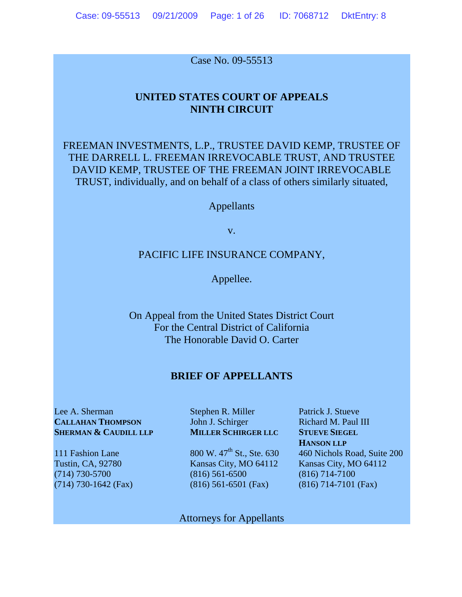Case No. 09-55513

# **UNITED STATES COURT OF APPEALS NINTH CIRCUIT**

FREEMAN INVESTMENTS, L.P., TRUSTEE DAVID KEMP, TRUSTEE OF THE DARRELL L. FREEMAN IRREVOCABLE TRUST, AND TRUSTEE DAVID KEMP, TRUSTEE OF THE FREEMAN JOINT IRREVOCABLE TRUST, individually, and on behalf of a class of others similarly situated,

Appellants

v.

## PACIFIC LIFE INSURANCE COMPANY,

Appellee.

On Appeal from the United States District Court For the Central District of California The Honorable David O. Carter

### **BRIEF OF APPELLANTS**

Lee A. Sherman Stephen R. Miller Patrick J. Stueve **CALLAHAN THOMPSON** John J. Schirger Richard M. Paul III **SHERMAN & CAUDILL LLP MILLER SCHIRGER LLC STUEVE SIEGEL** 

(714) 730-5700 (816) 561-6500 (816) 714-7100 (714) 730-1642 (Fax) (816) 561-6501 (Fax) (816) 714-7101 (Fax)

**HANSON LLP**<br>800 W. 47<sup>th</sup> St., Ste. 630 460 Nichols F

111 Fashion Lane 800 W.  $47<sup>th</sup>$  St., Ste. 630 460 Nichols Road, Suite 200 Tustin, CA, 92780 Kansas City, MO 64112 Kansas City, MO 64112

Attorneys for Appellants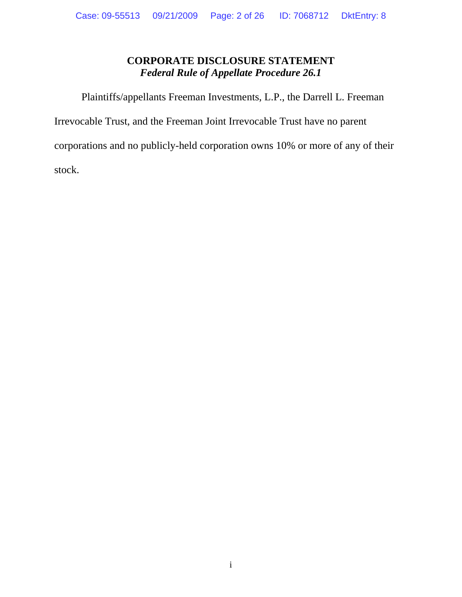# **CORPORATE DISCLOSURE STATEMENT**  *Federal Rule of Appellate Procedure 26.1*

Plaintiffs/appellants Freeman Investments, L.P., the Darrell L. Freeman

Irrevocable Trust, and the Freeman Joint Irrevocable Trust have no parent

corporations and no publicly-held corporation owns 10% or more of any of their

stock.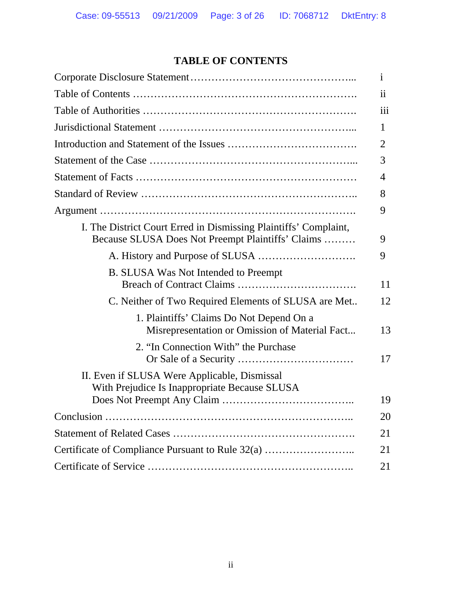# **TABLE OF CONTENTS**

|                                                                                                                       | 1   |
|-----------------------------------------------------------------------------------------------------------------------|-----|
|                                                                                                                       | 11  |
|                                                                                                                       | 111 |
|                                                                                                                       | 1   |
|                                                                                                                       | 2   |
|                                                                                                                       | 3   |
|                                                                                                                       | 4   |
|                                                                                                                       | 8   |
|                                                                                                                       | 9   |
| I. The District Court Erred in Dismissing Plaintiffs' Complaint,<br>Because SLUSA Does Not Preempt Plaintiffs' Claims | 9   |
|                                                                                                                       | 9   |
| B. SLUSA Was Not Intended to Preempt                                                                                  | 11  |
| C. Neither of Two Required Elements of SLUSA are Met                                                                  | 12  |
| 1. Plaintiffs' Claims Do Not Depend On a<br>Misrepresentation or Omission of Material Fact                            | 13  |
| 2. "In Connection With" the Purchase                                                                                  | 17  |
| II. Even if SLUSA Were Applicable, Dismissal<br>With Prejudice Is Inappropriate Because SLUSA                         |     |
|                                                                                                                       | 19  |
|                                                                                                                       | 20  |
|                                                                                                                       | 21  |
| Certificate of Compliance Pursuant to Rule 32(a)                                                                      | 21  |
|                                                                                                                       | 21  |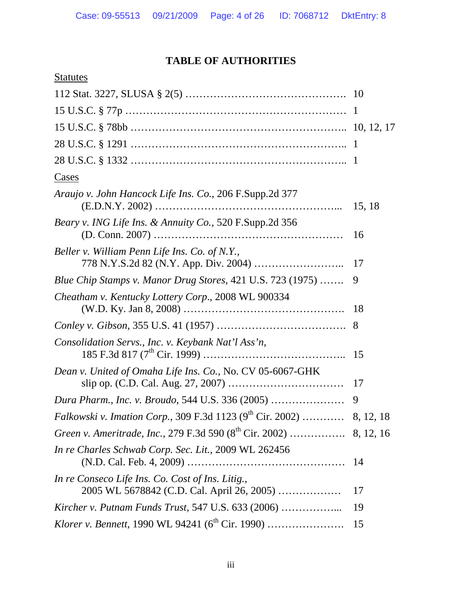# **TABLE OF AUTHORITIES**

| <b>Statutes</b>                                                                                |    |
|------------------------------------------------------------------------------------------------|----|
|                                                                                                |    |
|                                                                                                |    |
|                                                                                                |    |
|                                                                                                |    |
|                                                                                                |    |
| Cases                                                                                          |    |
| Araujo v. John Hancock Life Ins. Co., 206 F.Supp.2d 377                                        |    |
| <i>Beary v. ING Life Ins. &amp; Annuity Co., 520 F.Supp.2d 356</i>                             | 16 |
| Beller v. William Penn Life Ins. Co. of N.Y.,                                                  | 17 |
| Blue Chip Stamps v. Manor Drug Stores, 421 U.S. 723 (1975)                                     | 9  |
| Cheatham v. Kentucky Lottery Corp., 2008 WL 900334                                             | 18 |
|                                                                                                | 8  |
| Consolidation Servs., Inc. v. Keybank Nat'l Ass'n,                                             | 15 |
| Dean v. United of Omaha Life Ins. Co., No. CV 05-6067-GHK                                      |    |
|                                                                                                | 9  |
| <i>Falkowski v. Imation Corp.</i> , 309 F.3d 1123 (9 <sup>th</sup> Cir. 2002)  8, 12, 18       |    |
|                                                                                                |    |
| In re Charles Schwab Corp. Sec. Lit., 2009 WL 262456                                           |    |
| In re Conseco Life Ins. Co. Cost of Ins. Litig.,<br>2005 WL 5678842 (C.D. Cal. April 26, 2005) | 17 |
|                                                                                                | 19 |
|                                                                                                | 15 |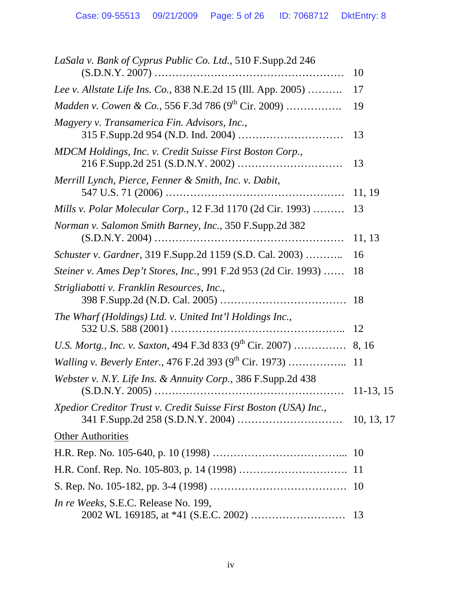| LaSala v. Bank of Cyprus Public Co. Ltd., 510 F.Supp.2d 246          |             |
|----------------------------------------------------------------------|-------------|
|                                                                      | 10          |
| Lee v. Allstate Life Ins. Co., 838 N.E.2d 15 (Ill. App. 2005)        | 17          |
| <i>Madden v. Cowen &amp; Co.</i> , 556 F.3d 786 $(9^{th}$ Cir. 2009) | 19          |
| Magyery v. Transamerica Fin. Advisors, Inc.,                         | 13          |
| MDCM Holdings, Inc. v. Credit Suisse First Boston Corp.,             | 13          |
| Merrill Lynch, Pierce, Fenner & Smith, Inc. v. Dabit,                | 11, 19      |
| Mills v. Polar Molecular Corp., 12 F.3d 1170 (2d Cir. 1993)          | 13          |
| Norman v. Salomon Smith Barney, Inc., 350 F.Supp.2d 382              | 11, 13      |
| Schuster v. Gardner, 319 F.Supp.2d 1159 (S.D. Cal. 2003)             | 16          |
| Steiner v. Ames Dep't Stores, Inc., 991 F.2d 953 (2d Cir. 1993)      | 18          |
| Strigliabotti v. Franklin Resources, Inc.,                           |             |
| The Wharf (Holdings) Ltd. v. United Int'l Holdings Inc.,             | 12          |
|                                                                      |             |
|                                                                      |             |
| Webster v. N.Y. Life Ins. & Annuity Corp., 386 F.Supp.2d 438         | $11-13, 15$ |
| Xpedior Creditor Trust v. Credit Suisse First Boston (USA) Inc.,     |             |
| <b>Other Authorities</b>                                             |             |
|                                                                      |             |
|                                                                      |             |
|                                                                      |             |
| In re Weeks, S.E.C. Release No. 199,                                 | 13          |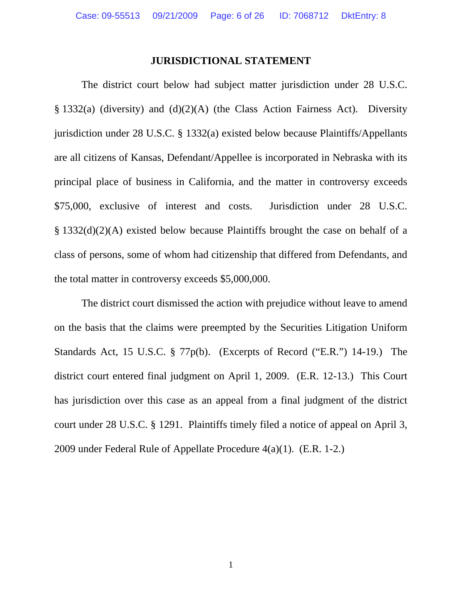## **JURISDICTIONAL STATEMENT**

 The district court below had subject matter jurisdiction under 28 U.S.C. § 1332(a) (diversity) and (d)(2)(A) (the Class Action Fairness Act). Diversity jurisdiction under 28 U.S.C. § 1332(a) existed below because Plaintiffs/Appellants are all citizens of Kansas, Defendant/Appellee is incorporated in Nebraska with its principal place of business in California, and the matter in controversy exceeds \$75,000, exclusive of interest and costs. Jurisdiction under 28 U.S.C. § 1332(d)(2)(A) existed below because Plaintiffs brought the case on behalf of a class of persons, some of whom had citizenship that differed from Defendants, and the total matter in controversy exceeds \$5,000,000.

 The district court dismissed the action with prejudice without leave to amend on the basis that the claims were preempted by the Securities Litigation Uniform Standards Act, 15 U.S.C. § 77p(b). (Excerpts of Record ("E.R.") 14-19.) The district court entered final judgment on April 1, 2009. (E.R. 12-13.) This Court has jurisdiction over this case as an appeal from a final judgment of the district court under 28 U.S.C. § 1291. Plaintiffs timely filed a notice of appeal on April 3, 2009 under Federal Rule of Appellate Procedure 4(a)(1). (E.R. 1-2.)

1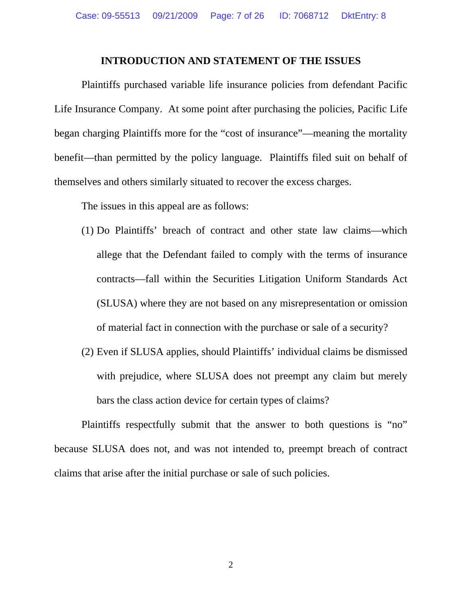### **INTRODUCTION AND STATEMENT OF THE ISSUES**

 Plaintiffs purchased variable life insurance policies from defendant Pacific Life Insurance Company. At some point after purchasing the policies, Pacific Life began charging Plaintiffs more for the "cost of insurance"—meaning the mortality benefit—than permitted by the policy language. Plaintiffs filed suit on behalf of themselves and others similarly situated to recover the excess charges.

The issues in this appeal are as follows:

- (1) Do Plaintiffs' breach of contract and other state law claims—which allege that the Defendant failed to comply with the terms of insurance contracts—fall within the Securities Litigation Uniform Standards Act (SLUSA) where they are not based on any misrepresentation or omission of material fact in connection with the purchase or sale of a security?
- (2) Even if SLUSA applies, should Plaintiffs' individual claims be dismissed with prejudice, where SLUSA does not preempt any claim but merely bars the class action device for certain types of claims?

 Plaintiffs respectfully submit that the answer to both questions is "no" because SLUSA does not, and was not intended to, preempt breach of contract claims that arise after the initial purchase or sale of such policies.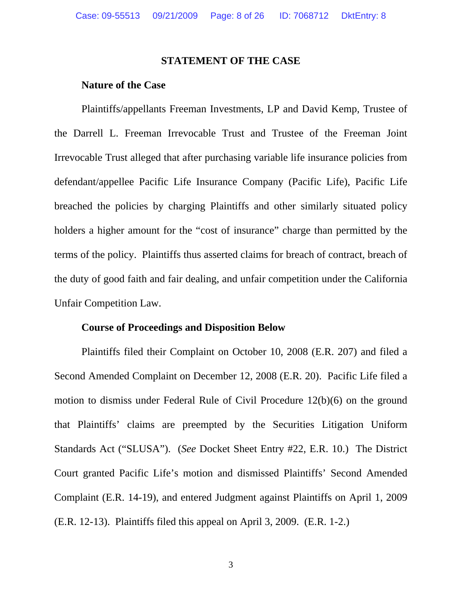### **STATEMENT OF THE CASE**

# **Nature of the Case**

 Plaintiffs/appellants Freeman Investments, LP and David Kemp, Trustee of the Darrell L. Freeman Irrevocable Trust and Trustee of the Freeman Joint Irrevocable Trust alleged that after purchasing variable life insurance policies from defendant/appellee Pacific Life Insurance Company (Pacific Life), Pacific Life breached the policies by charging Plaintiffs and other similarly situated policy holders a higher amount for the "cost of insurance" charge than permitted by the terms of the policy. Plaintiffs thus asserted claims for breach of contract, breach of the duty of good faith and fair dealing, and unfair competition under the California Unfair Competition Law.

### **Course of Proceedings and Disposition Below**

 Plaintiffs filed their Complaint on October 10, 2008 (E.R. 207) and filed a Second Amended Complaint on December 12, 2008 (E.R. 20). Pacific Life filed a motion to dismiss under Federal Rule of Civil Procedure 12(b)(6) on the ground that Plaintiffs' claims are preempted by the Securities Litigation Uniform Standards Act ("SLUSA"). (*See* Docket Sheet Entry #22, E.R. 10.) The District Court granted Pacific Life's motion and dismissed Plaintiffs' Second Amended Complaint (E.R. 14-19), and entered Judgment against Plaintiffs on April 1, 2009 (E.R. 12-13). Plaintiffs filed this appeal on April 3, 2009. (E.R. 1-2.)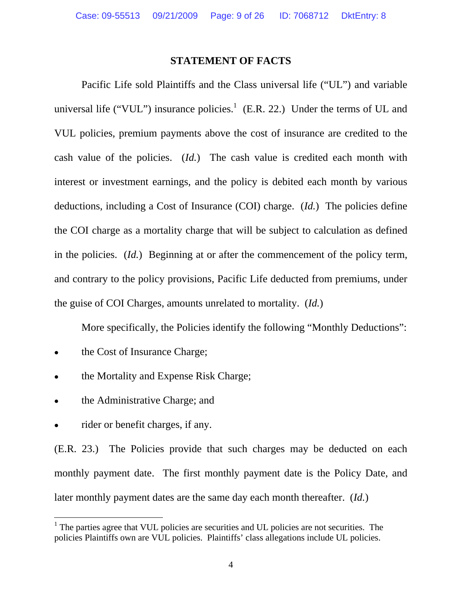### **STATEMENT OF FACTS**

 Pacific Life sold Plaintiffs and the Class universal life ("UL") and variable universal life ("VUL") insurance policies.<sup>1</sup> (E.R. 22.) Under the terms of UL and VUL policies, premium payments above the cost of insurance are credited to the cash value of the policies. (*Id.*) The cash value is credited each month with interest or investment earnings, and the policy is debited each month by various deductions, including a Cost of Insurance (COI) charge. (*Id.*) The policies define the COI charge as a mortality charge that will be subject to calculation as defined in the policies. (*Id.*) Beginning at or after the commencement of the policy term, and contrary to the policy provisions, Pacific Life deducted from premiums, under the guise of COI Charges, amounts unrelated to mortality. (*Id.*)

More specifically, the Policies identify the following "Monthly Deductions":

- the Cost of Insurance Charge;
- the Mortality and Expense Risk Charge;
- the Administrative Charge; and
- rider or benefit charges, if any.

 $\overline{a}$ 

(E.R. 23.) The Policies provide that such charges may be deducted on each monthly payment date. The first monthly payment date is the Policy Date, and later monthly payment dates are the same day each month thereafter.(*Id.*)

<sup>&</sup>lt;sup>1</sup> The parties agree that VUL policies are securities and UL policies are not securities. The policies Plaintiffs own are VUL policies. Plaintiffs' class allegations include UL policies.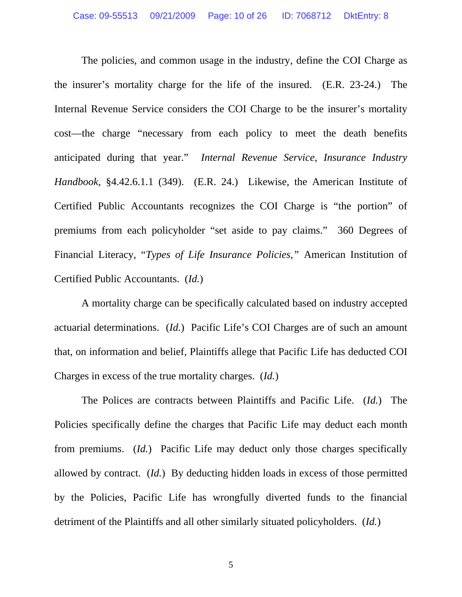The policies, and common usage in the industry, define the COI Charge as the insurer's mortality charge for the life of the insured. (E.R. 23-24.) The Internal Revenue Service considers the COI Charge to be the insurer's mortality cost—the charge "necessary from each policy to meet the death benefits anticipated during that year." *Internal Revenue Service, Insurance Industry Handbook,* §4.42.6.1.1 (349). (E.R. 24.) Likewise, the American Institute of Certified Public Accountants recognizes the COI Charge is "the portion" of premiums from each policyholder "set aside to pay claims." 360 Degrees of Financial Literacy, "*Types of Life Insurance Policies,"* American Institution of Certified Public Accountants. (*Id.*)

 A mortality charge can be specifically calculated based on industry accepted actuarial determinations. (*Id.*) Pacific Life's COI Charges are of such an amount that, on information and belief, Plaintiffs allege that Pacific Life has deducted COI Charges in excess of the true mortality charges. (*Id.*)

 The Polices are contracts between Plaintiffs and Pacific Life. (*Id.*) The Policies specifically define the charges that Pacific Life may deduct each month from premiums. (*Id.*) Pacific Life may deduct only those charges specifically allowed by contract. (*Id.*) By deducting hidden loads in excess of those permitted by the Policies, Pacific Life has wrongfully diverted funds to the financial detriment of the Plaintiffs and all other similarly situated policyholders. (*Id.*)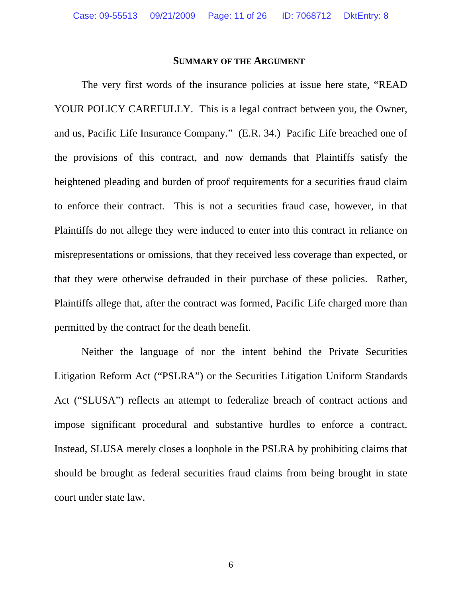#### **SUMMARY OF THE ARGUMENT**

 The very first words of the insurance policies at issue here state, "READ YOUR POLICY CAREFULLY. This is a legal contract between you, the Owner, and us, Pacific Life Insurance Company." (E.R. 34.) Pacific Life breached one of the provisions of this contract, and now demands that Plaintiffs satisfy the heightened pleading and burden of proof requirements for a securities fraud claim to enforce their contract. This is not a securities fraud case, however, in that Plaintiffs do not allege they were induced to enter into this contract in reliance on misrepresentations or omissions, that they received less coverage than expected, or that they were otherwise defrauded in their purchase of these policies. Rather, Plaintiffs allege that, after the contract was formed, Pacific Life charged more than permitted by the contract for the death benefit.

 Neither the language of nor the intent behind the Private Securities Litigation Reform Act ("PSLRA") or the Securities Litigation Uniform Standards Act ("SLUSA") reflects an attempt to federalize breach of contract actions and impose significant procedural and substantive hurdles to enforce a contract. Instead, SLUSA merely closes a loophole in the PSLRA by prohibiting claims that should be brought as federal securities fraud claims from being brought in state court under state law.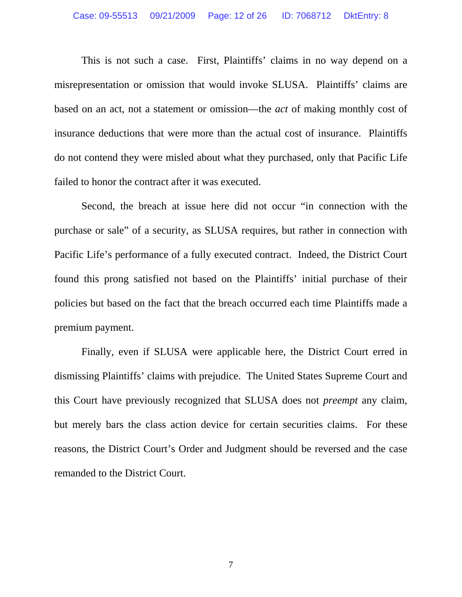This is not such a case. First, Plaintiffs' claims in no way depend on a misrepresentation or omission that would invoke SLUSA. Plaintiffs' claims are based on an act, not a statement or omission—the *act* of making monthly cost of insurance deductions that were more than the actual cost of insurance. Plaintiffs do not contend they were misled about what they purchased, only that Pacific Life failed to honor the contract after it was executed.

 Second, the breach at issue here did not occur "in connection with the purchase or sale" of a security, as SLUSA requires, but rather in connection with Pacific Life's performance of a fully executed contract. Indeed, the District Court found this prong satisfied not based on the Plaintiffs' initial purchase of their policies but based on the fact that the breach occurred each time Plaintiffs made a premium payment.

 Finally, even if SLUSA were applicable here, the District Court erred in dismissing Plaintiffs' claims with prejudice. The United States Supreme Court and this Court have previously recognized that SLUSA does not *preempt* any claim, but merely bars the class action device for certain securities claims. For these reasons, the District Court's Order and Judgment should be reversed and the case remanded to the District Court.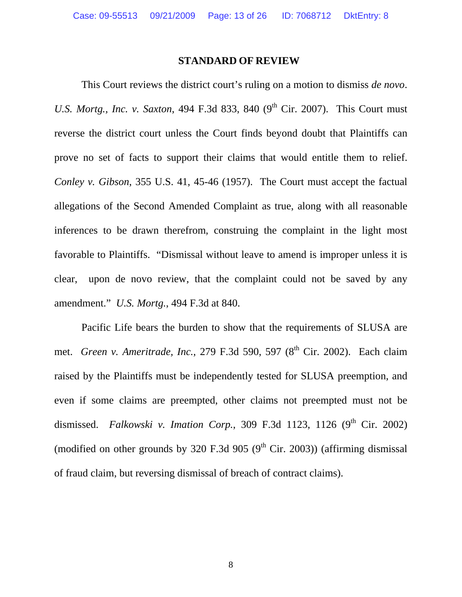### **STANDARD OF REVIEW**

This Court reviews the district court's ruling on a motion to dismiss *de novo*. *U.S. Mortg., Inc. v. Saxton,* 494 F.3d 833, 840 (9<sup>th</sup> Cir. 2007). This Court must reverse the district court unless the Court finds beyond doubt that Plaintiffs can prove no set of facts to support their claims that would entitle them to relief. *Conley v. Gibson*, 355 U.S. 41, 45-46 (1957). The Court must accept the factual allegations of the Second Amended Complaint as true, along with all reasonable inferences to be drawn therefrom, construing the complaint in the light most favorable to Plaintiffs. "Dismissal without leave to amend is improper unless it is clear, upon de novo review, that the complaint could not be saved by any amendment." *U.S. Mortg.*, 494 F.3d at 840.

 Pacific Life bears the burden to show that the requirements of SLUSA are met. *Green v. Ameritrade, Inc.*, 279 F.3d 590, 597 (8<sup>th</sup> Cir. 2002). Each claim raised by the Plaintiffs must be independently tested for SLUSA preemption, and even if some claims are preempted, other claims not preempted must not be dismissed. *Falkowski v. Imation Corp.*, 309 F.3d 1123, 1126 (9<sup>th</sup> Cir. 2002) (modified on other grounds by 320 F.3d 905 (9<sup>th</sup> Cir. 2003)) (affirming dismissal of fraud claim, but reversing dismissal of breach of contract claims).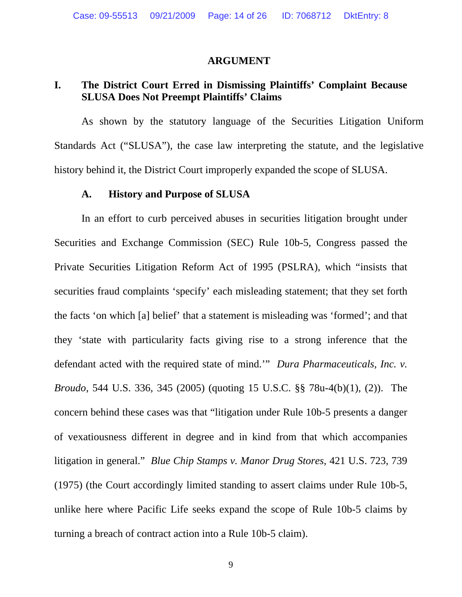#### **ARGUMENT**

# **I. The District Court Erred in Dismissing Plaintiffs' Complaint Because SLUSA Does Not Preempt Plaintiffs' Claims**

As shown by the statutory language of the Securities Litigation Uniform Standards Act ("SLUSA"), the case law interpreting the statute, and the legislative history behind it, the District Court improperly expanded the scope of SLUSA.

### **A. History and Purpose of SLUSA**

 In an effort to curb perceived abuses in securities litigation brought under Securities and Exchange Commission (SEC) Rule 10b-5, Congress passed the Private Securities Litigation Reform Act of 1995 (PSLRA), which "insists that securities fraud complaints 'specify' each misleading statement; that they set forth the facts 'on which [a] belief' that a statement is misleading was 'formed'; and that they 'state with particularity facts giving rise to a strong inference that the defendant acted with the required state of mind.'" *Dura Pharmaceuticals, Inc. v. Broudo*, 544 U.S. 336, 345 (2005) (quoting 15 U.S.C. §§ 78u-4(b)(1), (2)). The concern behind these cases was that "litigation under Rule 10b-5 presents a danger of vexatiousness different in degree and in kind from that which accompanies litigation in general." *Blue Chip Stamps v. Manor Drug Stores*, 421 U.S. 723, 739 (1975) (the Court accordingly limited standing to assert claims under Rule 10b-5, unlike here where Pacific Life seeks expand the scope of Rule 10b-5 claims by turning a breach of contract action into a Rule 10b-5 claim).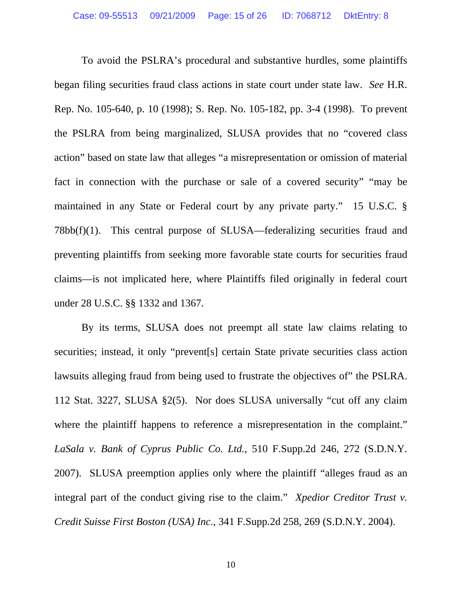To avoid the PSLRA's procedural and substantive hurdles, some plaintiffs began filing securities fraud class actions in state court under state law. *See* H.R. Rep. No. 105-640, p. 10 (1998); S. Rep. No. 105-182, pp. 3-4 (1998). To prevent the PSLRA from being marginalized, SLUSA provides that no "covered class action" based on state law that alleges "a misrepresentation or omission of material fact in connection with the purchase or sale of a covered security" "may be maintained in any State or Federal court by any private party." 15 U.S.C. § 78bb(f)(1). This central purpose of SLUSA—federalizing securities fraud and preventing plaintiffs from seeking more favorable state courts for securities fraud claims—is not implicated here, where Plaintiffs filed originally in federal court under 28 U.S.C. §§ 1332 and 1367.

 By its terms, SLUSA does not preempt all state law claims relating to securities; instead, it only "prevent<sup>[s]</sup> certain State private securities class action lawsuits alleging fraud from being used to frustrate the objectives of" the PSLRA. 112 Stat. 3227, SLUSA §2(5). Nor does SLUSA universally "cut off any claim where the plaintiff happens to reference a misrepresentation in the complaint." *LaSala v. Bank of Cyprus Public Co. Ltd.*, 510 F.Supp.2d 246, 272 (S.D.N.Y. 2007). SLUSA preemption applies only where the plaintiff "alleges fraud as an integral part of the conduct giving rise to the claim." *Xpedior Creditor Trust v. Credit Suisse First Boston (USA) Inc.*, 341 F.Supp.2d 258, 269 (S.D.N.Y. 2004).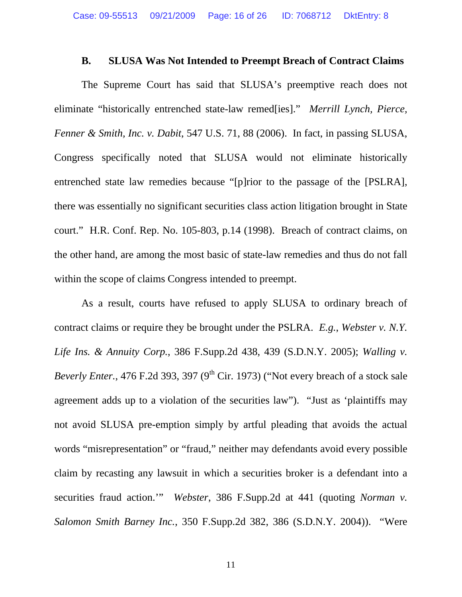### **B. SLUSA Was Not Intended to Preempt Breach of Contract Claims**

 The Supreme Court has said that SLUSA's preemptive reach does not eliminate "historically entrenched state-law remed[ies]." *Merrill Lynch, Pierce, Fenner & Smith, Inc. v. Dabit*, 547 U.S. 71, 88 (2006). In fact, in passing SLUSA, Congress specifically noted that SLUSA would not eliminate historically entrenched state law remedies because "[p]rior to the passage of the [PSLRA], there was essentially no significant securities class action litigation brought in State court." H.R. Conf. Rep. No. 105-803, p.14 (1998). Breach of contract claims, on the other hand, are among the most basic of state-law remedies and thus do not fall within the scope of claims Congress intended to preempt.

 As a result, courts have refused to apply SLUSA to ordinary breach of contract claims or require they be brought under the PSLRA. *E.g.*, *Webster v. N.Y. Life Ins. & Annuity Corp.*, 386 F.Supp.2d 438, 439 (S.D.N.Y. 2005); *Walling v. Beverly Enter.*, 476 F.2d 393, 397 (9<sup>th</sup> Cir. 1973) ("Not every breach of a stock sale agreement adds up to a violation of the securities law"). "Just as 'plaintiffs may not avoid SLUSA pre-emption simply by artful pleading that avoids the actual words "misrepresentation" or "fraud," neither may defendants avoid every possible claim by recasting any lawsuit in which a securities broker is a defendant into a securities fraud action.'" *Webster*, 386 F.Supp.2d at 441 (quoting *Norman v. Salomon Smith Barney Inc.*, 350 F.Supp.2d 382, 386 (S.D.N.Y. 2004)). "Were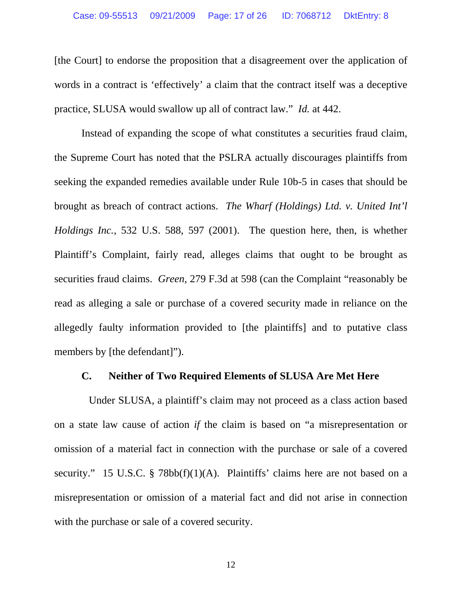[the Court] to endorse the proposition that a disagreement over the application of words in a contract is 'effectively' a claim that the contract itself was a deceptive practice, SLUSA would swallow up all of contract law." *Id.* at 442.

 Instead of expanding the scope of what constitutes a securities fraud claim, the Supreme Court has noted that the PSLRA actually discourages plaintiffs from seeking the expanded remedies available under Rule 10b-5 in cases that should be brought as breach of contract actions. *The Wharf (Holdings) Ltd. v. United Int'l Holdings Inc.*, 532 U.S. 588, 597 (2001). The question here, then, is whether Plaintiff's Complaint, fairly read, alleges claims that ought to be brought as securities fraud claims. *Green*, 279 F.3d at 598 (can the Complaint "reasonably be read as alleging a sale or purchase of a covered security made in reliance on the allegedly faulty information provided to [the plaintiffs] and to putative class members by [the defendant]").

## **C. Neither of Two Required Elements of SLUSA Are Met Here**

Under SLUSA, a plaintiff's claim may not proceed as a class action based on a state law cause of action *if* the claim is based on "a misrepresentation or omission of a material fact in connection with the purchase or sale of a covered security." 15 U.S.C. § 78bb(f)(1)(A). Plaintiffs' claims here are not based on a misrepresentation or omission of a material fact and did not arise in connection with the purchase or sale of a covered security.

12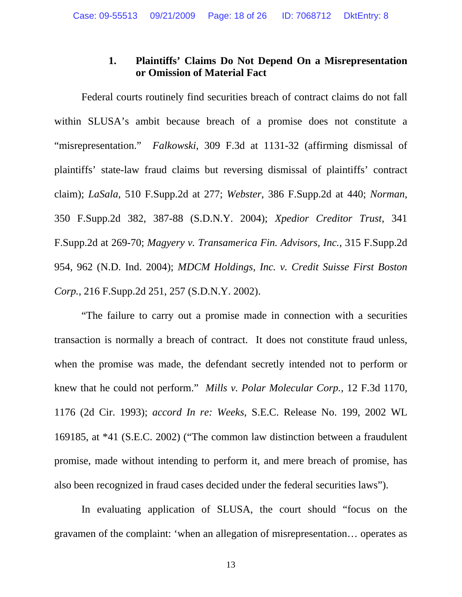# **1. Plaintiffs' Claims Do Not Depend On a Misrepresentation or Omission of Material Fact**

 Federal courts routinely find securities breach of contract claims do not fall within SLUSA's ambit because breach of a promise does not constitute a "misrepresentation." *Falkowski*, 309 F.3d at 1131-32 (affirming dismissal of plaintiffs' state-law fraud claims but reversing dismissal of plaintiffs' contract claim); *LaSala*, 510 F.Supp.2d at 277; *Webster*, 386 F.Supp.2d at 440; *Norman*, 350 F.Supp.2d 382, 387-88 (S.D.N.Y. 2004); *Xpedior Creditor Trust*, 341 F.Supp.2d at 269-70; *Magyery v. Transamerica Fin. Advisors, Inc.*, 315 F.Supp.2d 954, 962 (N.D. Ind. 2004); *MDCM Holdings, Inc. v. Credit Suisse First Boston Corp.*, 216 F.Supp.2d 251, 257 (S.D.N.Y. 2002).

 "The failure to carry out a promise made in connection with a securities transaction is normally a breach of contract. It does not constitute fraud unless, when the promise was made, the defendant secretly intended not to perform or knew that he could not perform." *Mills v. Polar Molecular Corp.*, 12 F.3d 1170, 1176 (2d Cir. 1993); *accord In re: Weeks*, S.E.C. Release No. 199, 2002 WL 169185, at \*41 (S.E.C. 2002) ("The common law distinction between a fraudulent promise, made without intending to perform it, and mere breach of promise, has also been recognized in fraud cases decided under the federal securities laws").

 In evaluating application of SLUSA, the court should "focus on the gravamen of the complaint: 'when an allegation of misrepresentation… operates as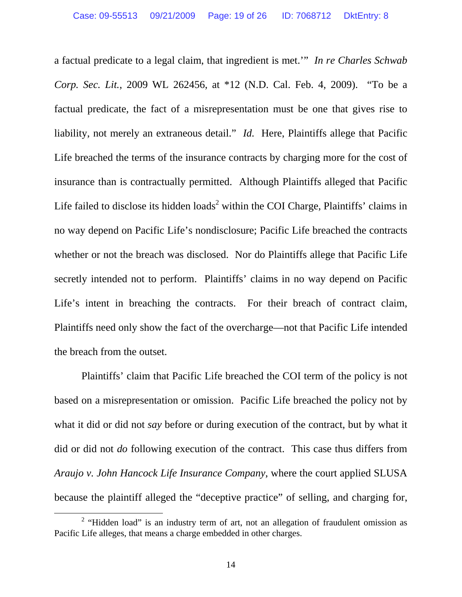a factual predicate to a legal claim, that ingredient is met.'" *In re Charles Schwab Corp. Sec. Lit.*, 2009 WL 262456, at \*12 (N.D. Cal. Feb. 4, 2009). "To be a factual predicate, the fact of a misrepresentation must be one that gives rise to liability, not merely an extraneous detail." *Id.* Here, Plaintiffs allege that Pacific Life breached the terms of the insurance contracts by charging more for the cost of insurance than is contractually permitted. Although Plaintiffs alleged that Pacific Life failed to disclose its hidden loads<sup>2</sup> within the COI Charge, Plaintiffs' claims in no way depend on Pacific Life's nondisclosure; Pacific Life breached the contracts whether or not the breach was disclosed. Nor do Plaintiffs allege that Pacific Life secretly intended not to perform. Plaintiffs' claims in no way depend on Pacific Life's intent in breaching the contracts. For their breach of contract claim, Plaintiffs need only show the fact of the overcharge—not that Pacific Life intended the breach from the outset.

 Plaintiffs' claim that Pacific Life breached the COI term of the policy is not based on a misrepresentation or omission. Pacific Life breached the policy not by what it did or did not *say* before or during execution of the contract, but by what it did or did not *do* following execution of the contract. This case thus differs from *Araujo v. John Hancock Life Insurance Company*, where the court applied SLUSA because the plaintiff alleged the "deceptive practice" of selling, and charging for,

 <sup>2</sup>  $2$  "Hidden load" is an industry term of art, not an allegation of fraudulent omission as Pacific Life alleges, that means a charge embedded in other charges.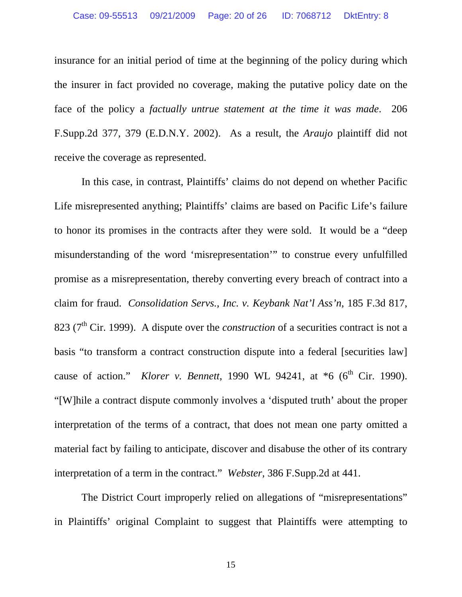insurance for an initial period of time at the beginning of the policy during which the insurer in fact provided no coverage, making the putative policy date on the face of the policy a *factually untrue statement at the time it was made*. 206 F.Supp.2d 377, 379 (E.D.N.Y. 2002). As a result, the *Araujo* plaintiff did not receive the coverage as represented.

 In this case, in contrast, Plaintiffs' claims do not depend on whether Pacific Life misrepresented anything; Plaintiffs' claims are based on Pacific Life's failure to honor its promises in the contracts after they were sold. It would be a "deep misunderstanding of the word 'misrepresentation'" to construe every unfulfilled promise as a misrepresentation, thereby converting every breach of contract into a claim for fraud. *Consolidation Servs., Inc. v. Keybank Nat'l Ass'n*, 185 F.3d 817, 823 ( $7<sup>th</sup>$  Cir. 1999). A dispute over the *construction* of a securities contract is not a basis "to transform a contract construction dispute into a federal [securities law] cause of action." *Klorer v. Bennett*, 1990 WL 94241, at  $*6$  (6<sup>th</sup> Cir. 1990). "[W]hile a contract dispute commonly involves a 'disputed truth' about the proper interpretation of the terms of a contract, that does not mean one party omitted a material fact by failing to anticipate, discover and disabuse the other of its contrary interpretation of a term in the contract." *Webster*, 386 F.Supp.2d at 441.

The District Court improperly relied on allegations of "misrepresentations" in Plaintiffs' original Complaint to suggest that Plaintiffs were attempting to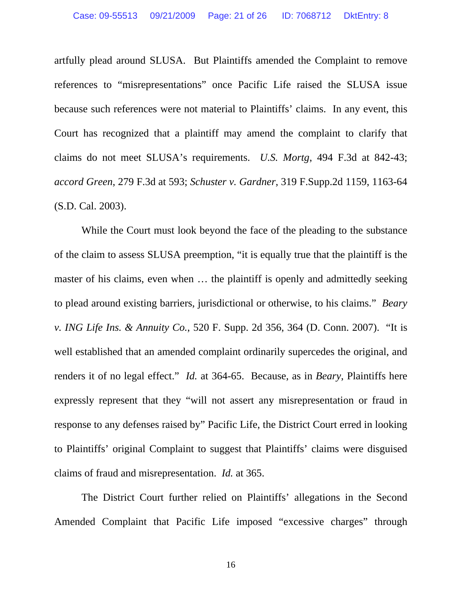artfully plead around SLUSA. But Plaintiffs amended the Complaint to remove references to "misrepresentations" once Pacific Life raised the SLUSA issue because such references were not material to Plaintiffs' claims. In any event, this Court has recognized that a plaintiff may amend the complaint to clarify that claims do not meet SLUSA's requirements. *U.S. Mortg*, 494 F.3d at 842-43; *accord Green*, 279 F.3d at 593; *Schuster v. Gardner*, 319 F.Supp.2d 1159, 1163-64 (S.D. Cal. 2003).

While the Court must look beyond the face of the pleading to the substance of the claim to assess SLUSA preemption, "it is equally true that the plaintiff is the master of his claims, even when … the plaintiff is openly and admittedly seeking to plead around existing barriers, jurisdictional or otherwise, to his claims." *Beary v. ING Life Ins. & Annuity Co.*, 520 F. Supp. 2d 356, 364 (D. Conn. 2007). "It is well established that an amended complaint ordinarily supercedes the original, and renders it of no legal effect." *Id.* at 364-65. Because, as in *Beary*, Plaintiffs here expressly represent that they "will not assert any misrepresentation or fraud in response to any defenses raised by" Pacific Life, the District Court erred in looking to Plaintiffs' original Complaint to suggest that Plaintiffs' claims were disguised claims of fraud and misrepresentation. *Id.* at 365.

 The District Court further relied on Plaintiffs' allegations in the Second Amended Complaint that Pacific Life imposed "excessive charges" through

16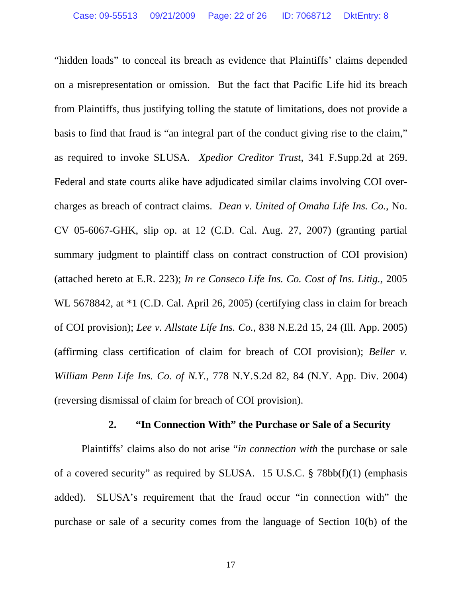"hidden loads" to conceal its breach as evidence that Plaintiffs' claims depended on a misrepresentation or omission. But the fact that Pacific Life hid its breach from Plaintiffs, thus justifying tolling the statute of limitations, does not provide a basis to find that fraud is "an integral part of the conduct giving rise to the claim," as required to invoke SLUSA. *Xpedior Creditor Trust*, 341 F.Supp.2d at 269. Federal and state courts alike have adjudicated similar claims involving COI overcharges as breach of contract claims. *Dean v. United of Omaha Life Ins. Co.*, No. CV 05-6067-GHK, slip op. at 12 (C.D. Cal. Aug. 27, 2007) (granting partial summary judgment to plaintiff class on contract construction of COI provision) (attached hereto at E.R. 223); *In re Conseco Life Ins. Co. Cost of Ins. Litig.*, 2005 WL 5678842, at  $*1$  (C.D. Cal. April 26, 2005) (certifying class in claim for breach of COI provision); *Lee v. Allstate Life Ins. Co.*, 838 N.E.2d 15, 24 (Ill. App. 2005) (affirming class certification of claim for breach of COI provision); *Beller v. William Penn Life Ins. Co. of N.Y.*, 778 N.Y.S.2d 82, 84 (N.Y. App. Div. 2004) (reversing dismissal of claim for breach of COI provision).

### **2. "In Connection With" the Purchase or Sale of a Security**

 Plaintiffs' claims also do not arise "*in connection with* the purchase or sale of a covered security" as required by SLUSA. 15 U.S.C. § 78bb(f)(1) (emphasis added). SLUSA's requirement that the fraud occur "in connection with" the purchase or sale of a security comes from the language of Section 10(b) of the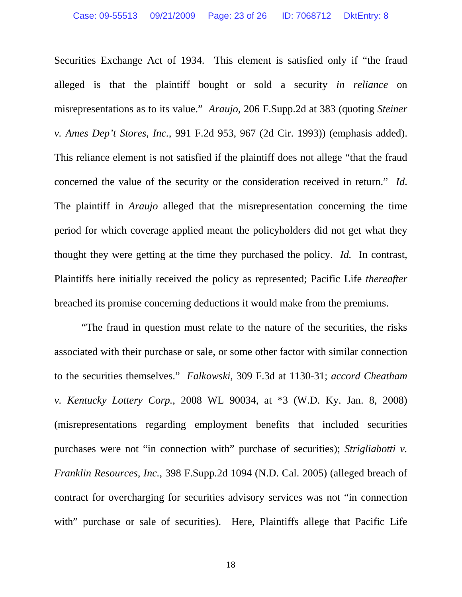Securities Exchange Act of 1934. This element is satisfied only if "the fraud alleged is that the plaintiff bought or sold a security *in reliance* on misrepresentations as to its value." *Araujo*, 206 F.Supp.2d at 383 (quoting *Steiner v. Ames Dep't Stores, Inc.*, 991 F.2d 953, 967 (2d Cir. 1993)) (emphasis added). This reliance element is not satisfied if the plaintiff does not allege "that the fraud concerned the value of the security or the consideration received in return." *Id*. The plaintiff in *Araujo* alleged that the misrepresentation concerning the time period for which coverage applied meant the policyholders did not get what they thought they were getting at the time they purchased the policy. *Id.* In contrast, Plaintiffs here initially received the policy as represented; Pacific Life *thereafter* breached its promise concerning deductions it would make from the premiums.

 "The fraud in question must relate to the nature of the securities, the risks associated with their purchase or sale, or some other factor with similar connection to the securities themselves." *Falkowski*, 309 F.3d at 1130-31; *accord Cheatham v. Kentucky Lottery Corp.*, 2008 WL 90034, at \*3 (W.D. Ky. Jan. 8, 2008) (misrepresentations regarding employment benefits that included securities purchases were not "in connection with" purchase of securities); *Strigliabotti v. Franklin Resources, Inc.*, 398 F.Supp.2d 1094 (N.D. Cal. 2005) (alleged breach of contract for overcharging for securities advisory services was not "in connection with" purchase or sale of securities). Here, Plaintiffs allege that Pacific Life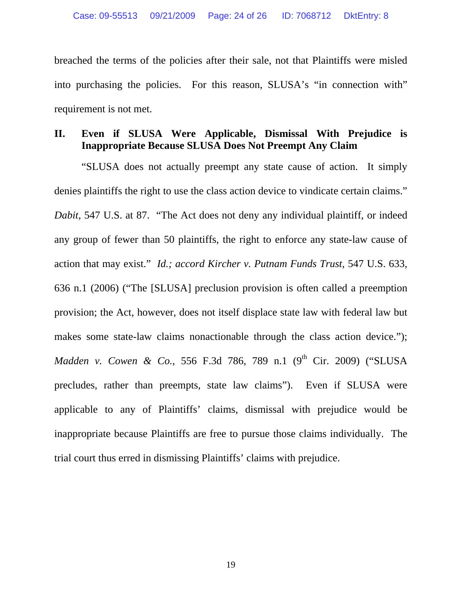breached the terms of the policies after their sale, not that Plaintiffs were misled into purchasing the policies. For this reason, SLUSA's "in connection with" requirement is not met.

# **II. Even if SLUSA Were Applicable, Dismissal With Prejudice is Inappropriate Because SLUSA Does Not Preempt Any Claim**

 "SLUSA does not actually preempt any state cause of action. It simply denies plaintiffs the right to use the class action device to vindicate certain claims." *Dabit*, 547 U.S. at 87. "The Act does not deny any individual plaintiff, or indeed any group of fewer than 50 plaintiffs, the right to enforce any state-law cause of action that may exist." *Id.; accord Kircher v. Putnam Funds Trust*, 547 U.S. 633, 636 n.1 (2006) ("The [SLUSA] preclusion provision is often called a preemption provision; the Act, however, does not itself displace state law with federal law but makes some state-law claims nonactionable through the class action device."); *Madden v. Cowen & Co.*, 556 F.3d 786, 789 n.1 (9<sup>th</sup> Cir. 2009) ("SLUSA precludes, rather than preempts, state law claims"). Even if SLUSA were applicable to any of Plaintiffs' claims, dismissal with prejudice would be inappropriate because Plaintiffs are free to pursue those claims individually. The trial court thus erred in dismissing Plaintiffs' claims with prejudice.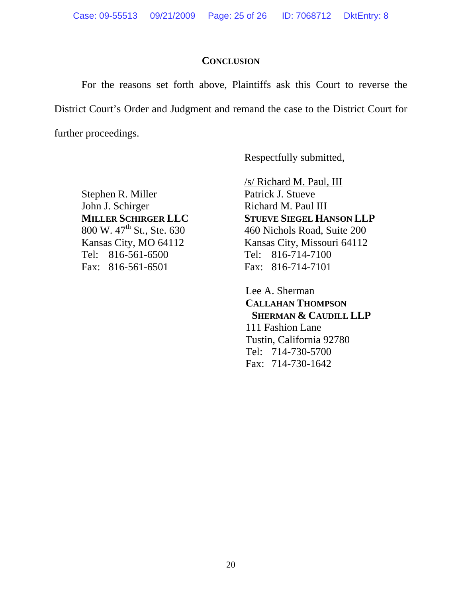Case: 09-55513 09/21/2009 Page: 25 of 26 ID: 7068712 DktEntry: 8

### **CONCLUSION**

For the reasons set forth above, Plaintiffs ask this Court to reverse the District Court's Order and Judgment and remand the case to the District Court for further proceedings.

Respectfully submitted,

Stephen R. Miller Patrick J. Stueve John J. Schirger Richard M. Paul III<br> **MILLER SCHIRGER LLC** STUEVE SIEGEL HA Tel: 816-561-6500 Tel: 816-714-7100 Fax: 816-561-6501 Fax: 816-714-7101

 /s/ Richard M. Paul, III **STUEVE SIEGEL HANSON LLP** 800 W. 47<sup>th</sup> St., Ste. 630 460 Nichols Road, Suite 200 Kansas City, MO 64112 Kansas City, Missouri 64112

> Lee A. Sherman **CALLAHAN THOMPSON SHERMAN & CAUDILL LLP**  111 Fashion Lane Tustin, California 92780 Tel: 714-730-5700 Fax: 714-730-1642